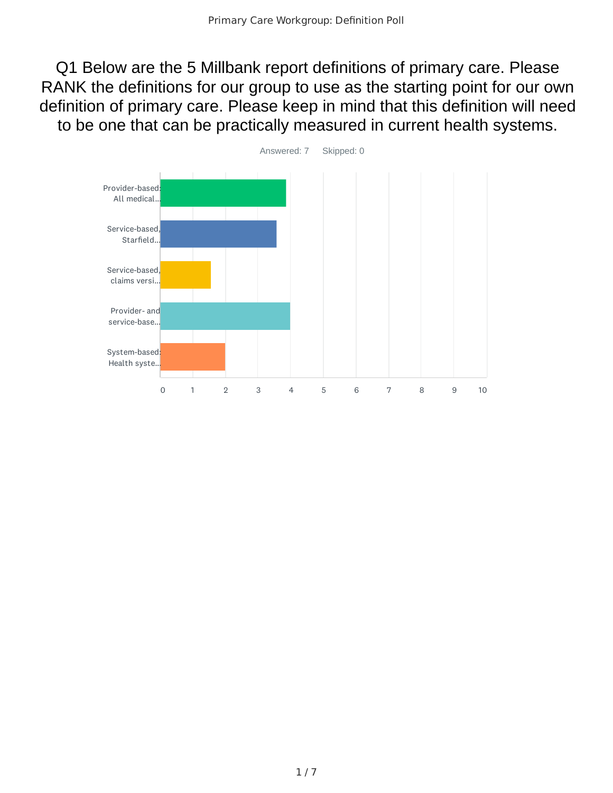Q1 Below are the 5 Millbank report definitions of primary care. Please RANK the definitions for our group to use as the starting point for our own definition of primary care. Please keep in mind that this definition will need to be one that can be practically measured in current health systems.

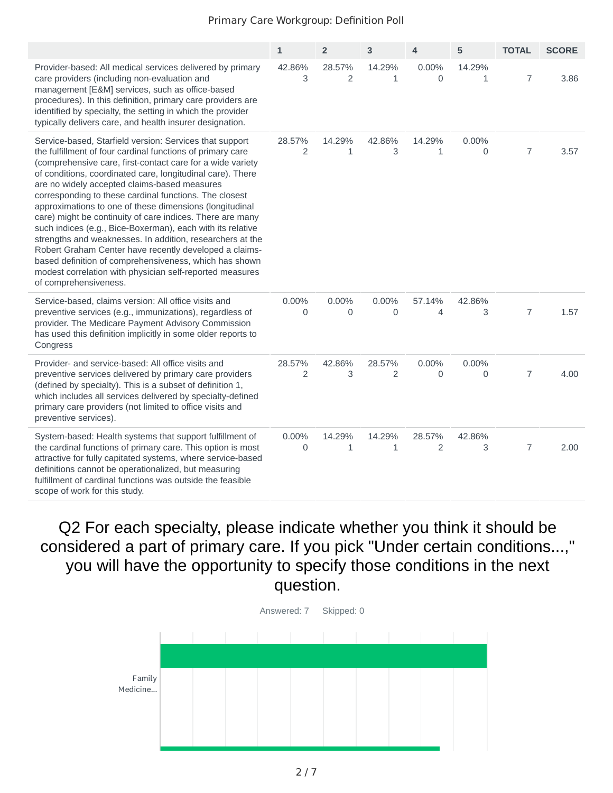|                                                                                                                                                                                                                                                                                                                                                                                                                                                                                                                                                                                                                                                                                                                                                                                                                         | $\mathbf{1}$ | $\overline{2}$         | 3                      | 4                        | 5                      | <b>TOTAL</b>   | <b>SCORE</b> |
|-------------------------------------------------------------------------------------------------------------------------------------------------------------------------------------------------------------------------------------------------------------------------------------------------------------------------------------------------------------------------------------------------------------------------------------------------------------------------------------------------------------------------------------------------------------------------------------------------------------------------------------------------------------------------------------------------------------------------------------------------------------------------------------------------------------------------|--------------|------------------------|------------------------|--------------------------|------------------------|----------------|--------------|
| Provider-based: All medical services delivered by primary<br>care providers (including non-evaluation and<br>management [E&M] services, such as office-based<br>procedures). In this definition, primary care providers are<br>identified by specialty, the setting in which the provider<br>typically delivers care, and health insurer designation.                                                                                                                                                                                                                                                                                                                                                                                                                                                                   | 42.86%<br>3  | 28.57%<br>2            | 14.29%<br>1            | 0.00%<br>0               | 14.29%<br>$\mathbf{1}$ | $\overline{7}$ | 3.86         |
| Service-based, Starfield version: Services that support<br>the fulfillment of four cardinal functions of primary care<br>(comprehensive care, first-contact care for a wide variety<br>of conditions, coordinated care, longitudinal care). There<br>are no widely accepted claims-based measures<br>corresponding to these cardinal functions. The closest<br>approximations to one of these dimensions (longitudinal<br>care) might be continuity of care indices. There are many<br>such indices (e.g., Bice-Boxerman), each with its relative<br>strengths and weaknesses. In addition, researchers at the<br>Robert Graham Center have recently developed a claims-<br>based definition of comprehensiveness, which has shown<br>modest correlation with physician self-reported measures<br>of comprehensiveness. | 28.57%<br>2  | 14.29%<br>$\mathbf{1}$ | 42.86%<br>3            | 14.29%<br>$\mathbf{1}$   | 0.00%<br>0             | $\overline{7}$ | 3.57         |
| Service-based, claims version: All office visits and<br>preventive services (e.g., immunizations), regardless of<br>provider. The Medicare Payment Advisory Commission<br>has used this definition implicitly in some older reports to<br>Congress                                                                                                                                                                                                                                                                                                                                                                                                                                                                                                                                                                      | 0.00%<br>0   | 0.00%<br>0             | 0.00%<br>0             | 57.14%<br>$\overline{4}$ | 42.86%<br>3            | $\overline{7}$ | 1.57         |
| Provider- and service-based: All office visits and<br>preventive services delivered by primary care providers<br>(defined by specialty). This is a subset of definition 1,<br>which includes all services delivered by specialty-defined<br>primary care providers (not limited to office visits and<br>preventive services).                                                                                                                                                                                                                                                                                                                                                                                                                                                                                           | 28.57%<br>2  | 42.86%<br>3            | 28.57%<br>2            | 0.00%<br>0               | 0.00%<br>$\Omega$      | $\overline{7}$ | 4.00         |
| System-based: Health systems that support fulfillment of<br>the cardinal functions of primary care. This option is most<br>attractive for fully capitated systems, where service-based<br>definitions cannot be operationalized, but measuring<br>fulfillment of cardinal functions was outside the feasible<br>scope of work for this study.                                                                                                                                                                                                                                                                                                                                                                                                                                                                           | 0.00%<br>0   | 14.29%<br>$\mathbf{1}$ | 14.29%<br>$\mathbf{1}$ | 28.57%<br>2              | 42.86%<br>3            | $\overline{7}$ | 2.00         |

Q2 For each specialty, please indicate whether you think it should be considered a part of primary care. If you pick "Under certain conditions...," you will have the opportunity to specify those conditions in the next question.

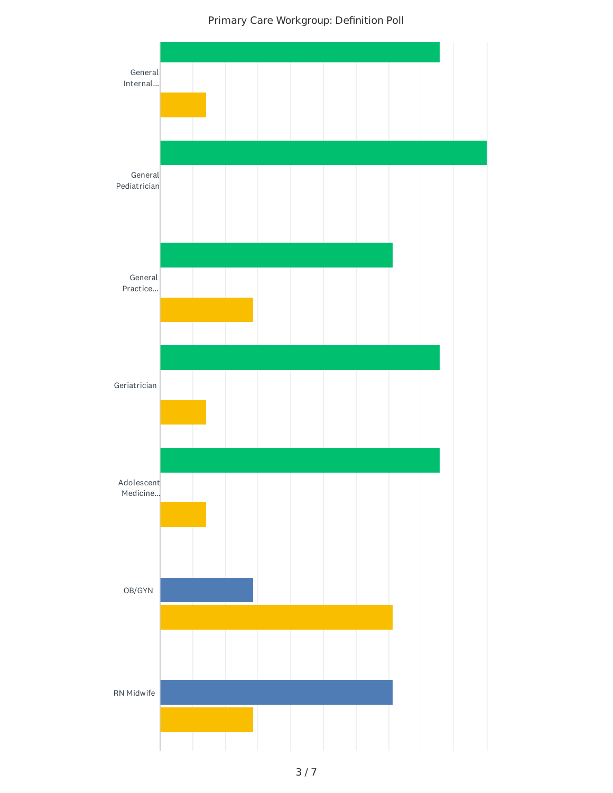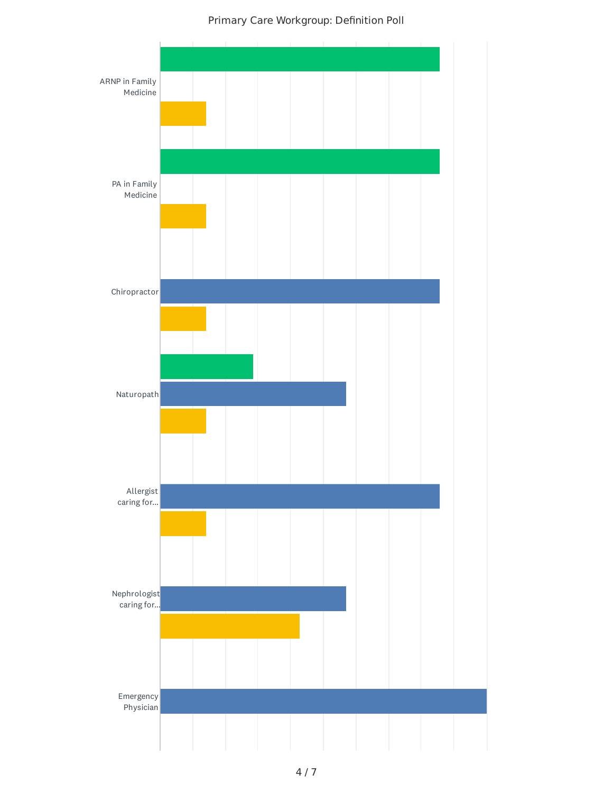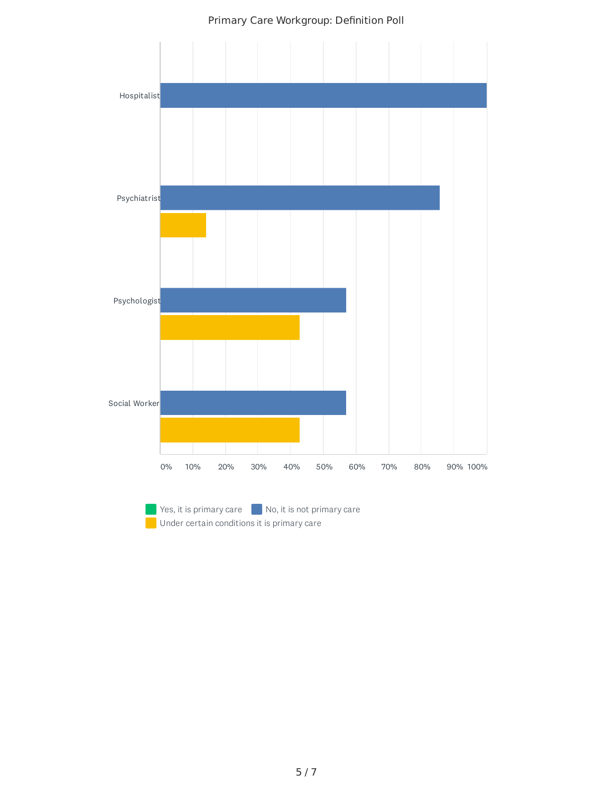

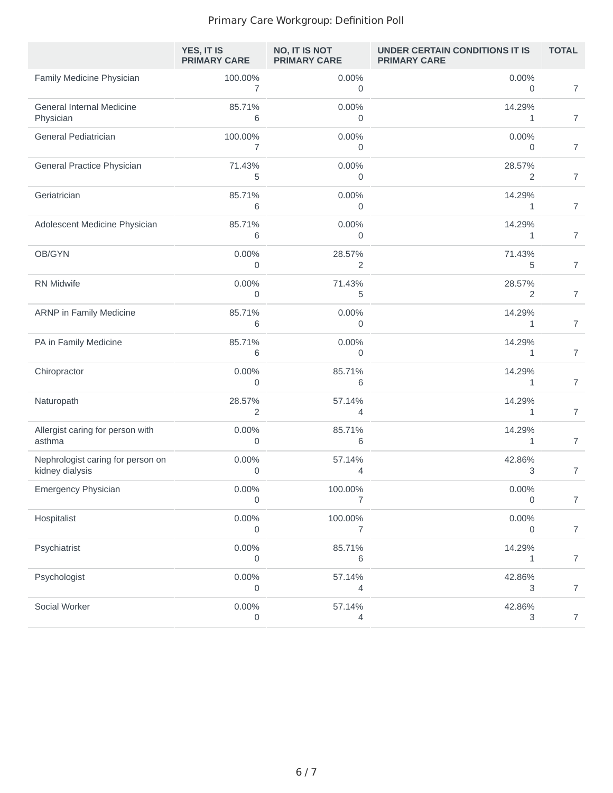|                                                      | YES, IT IS<br><b>PRIMARY CARE</b> | <b>NO, IT IS NOT</b><br><b>PRIMARY CARE</b> | UNDER CERTAIN CONDITIONS IT IS<br><b>PRIMARY CARE</b> | <b>TOTAL</b>   |
|------------------------------------------------------|-----------------------------------|---------------------------------------------|-------------------------------------------------------|----------------|
| Family Medicine Physician                            | 100.00%<br>$\overline{7}$         | 0.00%<br>$\mathbf 0$                        | 0.00%<br>$\mathbf 0$                                  | $\overline{7}$ |
| General Internal Medicine<br>Physician               | 85.71%<br>6                       | 0.00%<br>0                                  | 14.29%<br>$\mathbf{1}$                                | $\overline{7}$ |
| General Pediatrician                                 | 100.00%<br>7                      | 0.00%<br>0                                  | 0.00%<br>0                                            | $\overline{7}$ |
| General Practice Physician                           | 71.43%<br>5                       | 0.00%<br>0                                  | 28.57%<br>2                                           | $\overline{7}$ |
| Geriatrician                                         | 85.71%<br>6                       | 0.00%<br>0                                  | 14.29%<br>1                                           | $\overline{7}$ |
| Adolescent Medicine Physician                        | 85.71%<br>6                       | 0.00%<br>0                                  | 14.29%<br>1                                           | $\overline{7}$ |
| OB/GYN                                               | 0.00%<br>0                        | 28.57%<br>2                                 | 71.43%<br>5                                           | $\overline{7}$ |
| <b>RN Midwife</b>                                    | 0.00%<br>0                        | 71.43%<br>5                                 | 28.57%<br>2                                           | $\overline{7}$ |
| ARNP in Family Medicine                              | 85.71%<br>6                       | 0.00%<br>0                                  | 14.29%<br>1                                           | $\overline{7}$ |
| PA in Family Medicine                                | 85.71%<br>6                       | 0.00%<br>0                                  | 14.29%<br>1                                           | $\overline{7}$ |
| Chiropractor                                         | $0.00\%$<br>$\mathbf 0$           | 85.71%<br>6                                 | 14.29%<br>1                                           | $\overline{7}$ |
| Naturopath                                           | 28.57%<br>$\overline{c}$          | 57.14%<br>4                                 | 14.29%<br>1                                           | $\overline{7}$ |
| Allergist caring for person with<br>asthma           | 0.00%<br>0                        | 85.71%<br>6                                 | 14.29%<br>1                                           | $\overline{7}$ |
| Nephrologist caring for person on<br>kidney dialysis | 0.00%<br>0                        | 57.14%<br>4                                 | 42.86%<br>3                                           | $\overline{7}$ |
| <b>Emergency Physician</b>                           | $0.00\%$<br>0                     | 100.00%<br>7                                | $0.00\%$<br>0                                         | $\overline{7}$ |
| Hospitalist                                          | $0.00\%$<br>0                     | 100.00%<br>7                                | 0.00%<br>0                                            | $\overline{7}$ |
| Psychiatrist                                         | 0.00%<br>0                        | 85.71%<br>6                                 | 14.29%<br>1                                           | $\overline{7}$ |
| Psychologist                                         | $0.00\%$<br>0                     | 57.14%<br>4                                 | 42.86%<br>3                                           | $\overline{7}$ |
| Social Worker                                        | $0.00\%$<br>0                     | 57.14%<br>4                                 | 42.86%<br>3                                           | $\overline{7}$ |